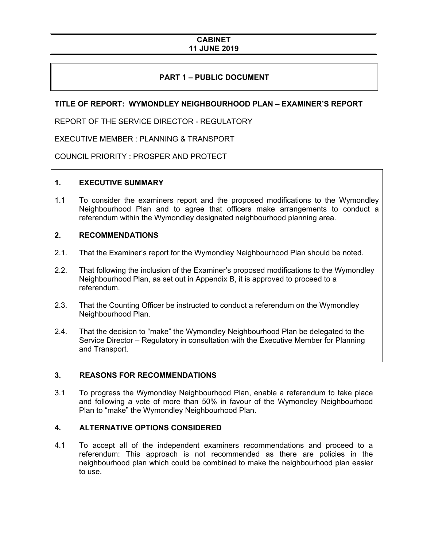### **CABINET 11 JUNE 2019**

# **PART 1 – PUBLIC DOCUMENT**

## **TITLE OF REPORT: WYMONDLEY NEIGHBOURHOOD PLAN – EXAMINER'S REPORT**

REPORT OF THE SERVICE DIRECTOR - REGULATORY

EXECUTIVE MEMBER : PLANNING & TRANSPORT

COUNCIL PRIORITY : PROSPER AND PROTECT

## **1. EXECUTIVE SUMMARY**

1.1 To consider the examiners report and the proposed modifications to the Wymondley Neighbourhood Plan and to agree that officers make arrangements to conduct a referendum within the Wymondley designated neighbourhood planning area.

### **2. RECOMMENDATIONS**

- 2.1. That the Examiner's report for the Wymondley Neighbourhood Plan should be noted.
- 2.2. That following the inclusion of the Examiner's proposed modifications to the Wymondley Neighbourhood Plan, as set out in Appendix B, it is approved to proceed to a referendum.
- 2.3. That the Counting Officer be instructed to conduct a referendum on the Wymondley Neighbourhood Plan.
- 2.4. That the decision to "make" the Wymondley Neighbourhood Plan be delegated to the Service Director – Regulatory in consultation with the Executive Member for Planning and Transport.

## **3. REASONS FOR RECOMMENDATIONS**

3.1 To progress the Wymondley Neighbourhood Plan, enable a referendum to take place and following a vote of more than 50% in favour of the Wymondley Neighbourhood Plan to "make" the Wymondley Neighbourhood Plan.

## **4. ALTERNATIVE OPTIONS CONSIDERED**

4.1 To accept all of the independent examiners recommendations and proceed to a referendum: This approach is not recommended as there are policies in the neighbourhood plan which could be combined to make the neighbourhood plan easier to use.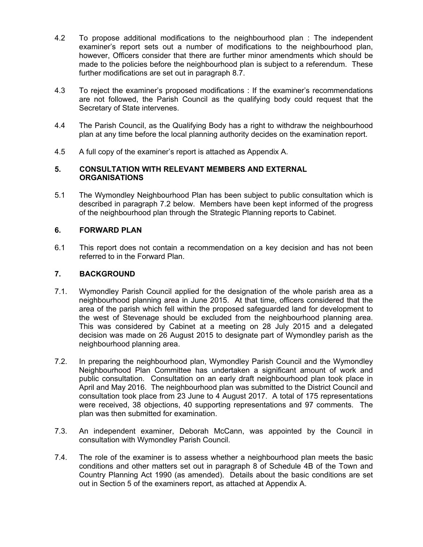- 4.2 To propose additional modifications to the neighbourhood plan : The independent examiner's report sets out a number of modifications to the neighbourhood plan, however, Officers consider that there are further minor amendments which should be made to the policies before the neighbourhood plan is subject to a referendum. These further modifications are set out in paragraph 8.7.
- 4.3 To reject the examiner's proposed modifications : If the examiner's recommendations are not followed, the Parish Council as the qualifying body could request that the Secretary of State intervenes.
- 4.4 The Parish Council, as the Qualifying Body has a right to withdraw the neighbourhood plan at any time before the local planning authority decides on the examination report.
- 4.5 A full copy of the examiner's report is attached as Appendix A.

#### **5. CONSULTATION WITH RELEVANT MEMBERS AND EXTERNAL ORGANISATIONS**

5.1 The Wymondley Neighbourhood Plan has been subject to public consultation which is described in paragraph 7.2 below. Members have been kept informed of the progress of the neighbourhood plan through the Strategic Planning reports to Cabinet.

## **6. FORWARD PLAN**

6.1 This report does not contain a recommendation on a key decision and has not been referred to in the Forward Plan.

## **7. BACKGROUND**

- 7.1. Wymondley Parish Council applied for the designation of the whole parish area as a neighbourhood planning area in June 2015. At that time, officers considered that the area of the parish which fell within the proposed safeguarded land for development to the west of Stevenage should be excluded from the neighbourhood planning area. This was considered by Cabinet at a meeting on 28 July 2015 and a delegated decision was made on 26 August 2015 to designate part of Wymondley parish as the neighbourhood planning area.
- 7.2. In preparing the neighbourhood plan, Wymondley Parish Council and the Wymondley Neighbourhood Plan Committee has undertaken a significant amount of work and public consultation. Consultation on an early draft neighbourhood plan took place in April and May 2016. The neighbourhood plan was submitted to the District Council and consultation took place from 23 June to 4 August 2017. A total of 175 representations were received, 38 objections, 40 supporting representations and 97 comments. The plan was then submitted for examination.
- 7.3. An independent examiner, Deborah McCann, was appointed by the Council in consultation with Wymondley Parish Council.
- 7.4. The role of the examiner is to assess whether a neighbourhood plan meets the basic conditions and other matters set out in paragraph 8 of Schedule 4B of the Town and Country Planning Act 1990 (as amended). Details about the basic conditions are set out in Section 5 of the examiners report, as attached at Appendix A.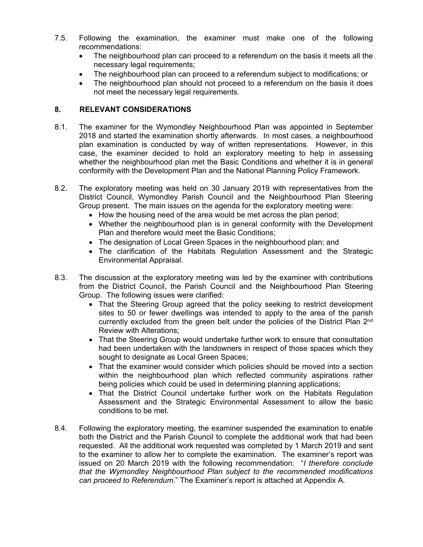- 7.5. Following the examination, the examiner must make one of the following recommendations:
	- The neighbourhood plan can proceed to a referendum on the basis it meets all the necessary legal requirements;
	- The neighbourhood plan can proceed to a referendum subject to modifications; or
	- The neighbourhood plan should not proceed to a referendum on the basis it does not meet the necessary legal requirements.

## **8. RELEVANT CONSIDERATIONS**

- 8.1. The examiner for the Wymondley Neighbourhood Plan was appointed in September 2018 and started the examination shortly afterwards. In most cases, a neighbourhood plan examination is conducted by way of written representations. However, in this case, the examiner decided to hold an exploratory meeting to help in assessing whether the neighbourhood plan met the Basic Conditions and whether it is in general conformity with the Development Plan and the National Planning Policy Framework.
- 8.2. The exploratory meeting was held on 30 January 2019 with representatives from the District Council, Wymondley Parish Council and the Neighbourhood Plan Steering Group present. The main issues on the agenda for the exploratory meeting were:
	- How the housing need of the area would be met across the plan period;
	- Whether the neighbourhood plan is in general conformity with the Development Plan and therefore would meet the Basic Conditions;
	- The designation of Local Green Spaces in the neighbourhood plan; and
	- The clarification of the Habitats Regulation Assessment and the Strategic Environmental Appraisal.
- 8.3. The discussion at the exploratory meeting was led by the examiner with contributions from the District Council, the Parish Council and the Neighbourhood Plan Steering Group. The following issues were clarified:
	- That the Steering Group agreed that the policy seeking to restrict development sites to 50 or fewer dwellings was intended to apply to the area of the parish currently excluded from the green belt under the policies of the District Plan 2<sup>nd</sup> Review with Alterations;
	- That the Steering Group would undertake further work to ensure that consultation had been undertaken with the landowners in respect of those spaces which they sought to designate as Local Green Spaces;
	- That the examiner would consider which policies should be moved into a section within the neighbourhood plan which reflected community aspirations rather being policies which could be used in determining planning applications;
	- That the District Council undertake further work on the Habitats Regulation Assessment and the Strategic Environmental Assessment to allow the basic conditions to be met.
- 8.4. Following the exploratory meeting, the examiner suspended the examination to enable both the District and the Parish Council to complete the additional work that had been requested. All the additional work requested was completed by 1 March 2019 and sent to the examiner to allow her to complete the examination. The examiner's report was issued on 20 March 2019 with the following recommendation: "*I therefore conclude that the Wymondley Neighbourhood Plan subject to the recommended modifications can proceed to Referendum*." The Examiner's report is attached at Appendix A.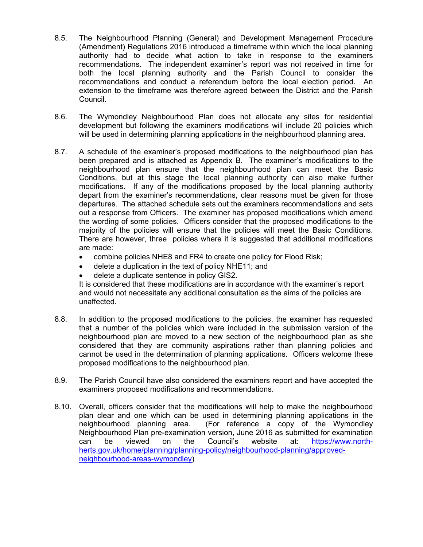- 8.5. The Neighbourhood Planning (General) and Development Management Procedure (Amendment) Regulations 2016 introduced a timeframe within which the local planning authority had to decide what action to take in response to the examiners recommendations. The independent examiner's report was not received in time for both the local planning authority and the Parish Council to consider the recommendations and conduct a referendum before the local election period. An extension to the timeframe was therefore agreed between the District and the Parish Council.
- 8.6. The Wymondley Neighbourhood Plan does not allocate any sites for residential development but following the examiners modifications will include 20 policies which will be used in determining planning applications in the neighbourhood planning area.
- 8.7. A schedule of the examiner's proposed modifications to the neighbourhood plan has been prepared and is attached as Appendix B. The examiner's modifications to the neighbourhood plan ensure that the neighbourhood plan can meet the Basic Conditions, but at this stage the local planning authority can also make further modifications. If any of the modifications proposed by the local planning authority depart from the examiner's recommendations, clear reasons must be given for those departures. The attached schedule sets out the examiners recommendations and sets out a response from Officers. The examiner has proposed modifications which amend the wording of some policies. Officers consider that the proposed modifications to the majority of the policies will ensure that the policies will meet the Basic Conditions. There are however, three policies where it is suggested that additional modifications are made:
	- combine policies NHE8 and FR4 to create one policy for Flood Risk;
	- delete a duplication in the text of policy NHE11; and
	- delete a duplicate sentence in policy GIS2.

It is considered that these modifications are in accordance with the examiner's report and would not necessitate any additional consultation as the aims of the policies are unaffected.

- 8.8. In addition to the proposed modifications to the policies, the examiner has requested that a number of the policies which were included in the submission version of the neighbourhood plan are moved to a new section of the neighbourhood plan as she considered that they are community aspirations rather than planning policies and cannot be used in the determination of planning applications. Officers welcome these proposed modifications to the neighbourhood plan.
- 8.9. The Parish Council have also considered the examiners report and have accepted the examiners proposed modifications and recommendations.
- 8.10. Overall, officers consider that the modifications will help to make the neighbourhood plan clear and one which can be used in determining planning applications in the neighbourhood planning area. (For reference a copy of the Wymondley Neighbourhood Plan pre-examination version, June 2016 as submitted for examination can be viewed on the Council's website at: [https://www.north](https://www.north-herts.gov.uk/home/planning/planning-policy/neighbourhood-planning/approved-neighbourhood-areas-wymondley)[herts.gov.uk/home/planning/planning-policy/neighbourhood-planning/approved](https://www.north-herts.gov.uk/home/planning/planning-policy/neighbourhood-planning/approved-neighbourhood-areas-wymondley)[neighbourhood-areas-wymondley\)](https://www.north-herts.gov.uk/home/planning/planning-policy/neighbourhood-planning/approved-neighbourhood-areas-wymondley)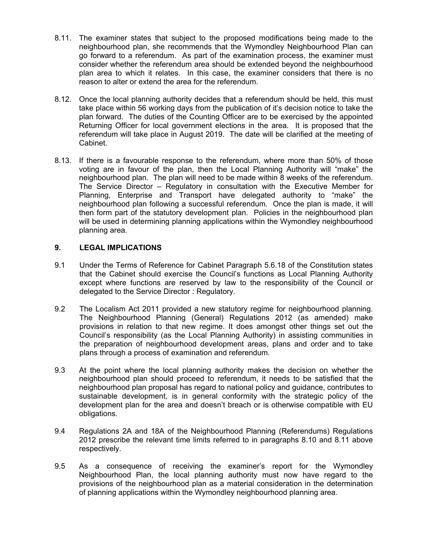- 8.11. The examiner states that subject to the proposed modifications being made to the neighbourhood plan, she recommends that the Wymondley Neighbourhood Plan can go forward to a referendum. As part of the examination process, the examiner must consider whether the referendum area should be extended beyond the neighbourhood plan area to which it relates. In this case, the examiner considers that there is no reason to alter or extend the area for the referendum.
- 8.12. Once the local planning authority decides that a referendum should be held, this must take place within 56 working days from the publication of it's decision notice to take the plan forward. The duties of the Counting Officer are to be exercised by the appointed Returning Officer for local government elections in the area. It is proposed that the referendum will take place in August 2019. The date will be clarified at the meeting of Cabinet.
- 8.13. If there is a favourable response to the referendum, where more than 50% of those voting are in favour of the plan, then the Local Planning Authority will "make" the neighbourhood plan. The plan will need to be made within 8 weeks of the referendum. The Service Director – Regulatory in consultation with the Executive Member for Planning, Enterprise and Transport have delegated authority to "make" the neighbourhood plan following a successful referendum. Once the plan is made, it will then form part of the statutory development plan. Policies in the neighbourhood plan will be used in determining planning applications within the Wymondley neighbourhood planning area.

## **9. LEGAL IMPLICATIONS**

- 9.1 Under the Terms of Reference for Cabinet Paragraph 5.6.18 of the Constitution states that the Cabinet should exercise the Council's functions as Local Planning Authority except where functions are reserved by law to the responsibility of the Council or delegated to the Service Director : Regulatory.
- 9.2 The Localism Act 2011 provided a new statutory regime for neighbourhood planning. The Neighbourhood Planning (General) Regulations 2012 (as amended) make provisions in relation to that new regime. It does amongst other things set out the Council's responsibility (as the Local Planning Authority) in assisting communities in the preparation of neighbourhood development areas, plans and order and to take plans through a process of examination and referendum.
- 9.3 At the point where the local planning authority makes the decision on whether the neighbourhood plan should proceed to referendum, it needs to be satisfied that the neighbourhood plan proposal has regard to national policy and guidance, contributes to sustainable development, is in general conformity with the strategic policy of the development plan for the area and doesn't breach or is otherwise compatible with EU obligations.
- 9.4 Regulations 2A and 18A of the Neighbourhood Planning (Referendums) Regulations 2012 prescribe the relevant time limits referred to in paragraphs 8.10 and 8.11 above respectively.
- 9.5 As a consequence of receiving the examiner's report for the Wymondley Neighbourhood Plan, the local planning authority must now have regard to the provisions of the neighbourhood plan as a material consideration in the determination of planning applications within the Wymondley neighbourhood planning area.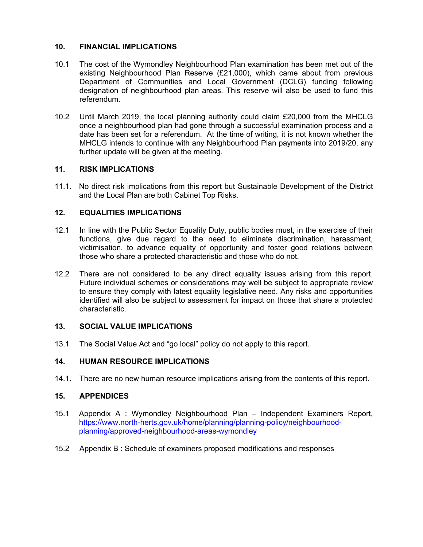## **10. FINANCIAL IMPLICATIONS**

- 10.1 The cost of the Wymondley Neighbourhood Plan examination has been met out of the existing Neighbourhood Plan Reserve (£21,000), which came about from previous Department of Communities and Local Government (DCLG) funding following designation of neighbourhood plan areas. This reserve will also be used to fund this referendum.
- 10.2 Until March 2019, the local planning authority could claim £20,000 from the MHCLG once a neighbourhood plan had gone through a successful examination process and a date has been set for a referendum. At the time of writing, it is not known whether the MHCLG intends to continue with any Neighbourhood Plan payments into 2019/20, any further update will be given at the meeting.

### **11. RISK IMPLICATIONS**

11.1. No direct risk implications from this report but Sustainable Development of the District and the Local Plan are both Cabinet Top Risks.

### **12. EQUALITIES IMPLICATIONS**

- 12.1 In line with the Public Sector Equality Duty, public bodies must, in the exercise of their functions, give due regard to the need to eliminate discrimination, harassment, victimisation, to advance equality of opportunity and foster good relations between those who share a protected characteristic and those who do not.
- 12.2 There are not considered to be any direct equality issues arising from this report. Future individual schemes or considerations may well be subject to appropriate review to ensure they comply with latest equality legislative need. Any risks and opportunities identified will also be subject to assessment for impact on those that share a protected characteristic.

#### **13. SOCIAL VALUE IMPLICATIONS**

13.1 The Social Value Act and "go local" policy do not apply to this report.

## **14. HUMAN RESOURCE IMPLICATIONS**

14.1. There are no new human resource implications arising from the contents of this report.

#### **15. APPENDICES**

- 15.1 Appendix A : Wymondley Neighbourhood Plan Independent Examiners Report, [https://www.north-herts.gov.uk/home/planning/planning-policy/neighbourhood](https://www.north-herts.gov.uk/home/planning/planning-policy/neighbourhood-planning/approved-neighbourhood-areas-wymondley)[planning/approved-neighbourhood-areas-wymondley](https://www.north-herts.gov.uk/home/planning/planning-policy/neighbourhood-planning/approved-neighbourhood-areas-wymondley)
- 15.2 Appendix B : Schedule of examiners proposed modifications and responses